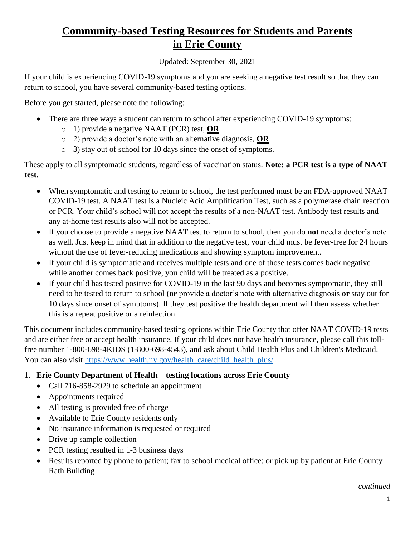# **Community-based Testing Resources for Students and Parents in Erie County**

Updated: September 30, 2021

If your child is experiencing COVID-19 symptoms and you are seeking a negative test result so that they can return to school, you have several community-based testing options.

Before you get started, please note the following:

- There are three ways a student can return to school after experiencing COVID-19 symptoms:
	- o 1) provide a negative NAAT (PCR) test, **OR**
	- o 2) provide a doctor's note with an alternative diagnosis, **OR**
	- o 3) stay out of school for 10 days since the onset of symptoms.

These apply to all symptomatic students, regardless of vaccination status. **Note: a PCR test is a type of NAAT test.**

- When symptomatic and testing to return to school, the test performed must be an FDA-approved NAAT COVID-19 test. A NAAT test is a Nucleic Acid Amplification Test, such as a polymerase chain reaction or PCR. Your child's school will not accept the results of a non-NAAT test. Antibody test results and any at-home test results also will not be accepted.
- If you choose to provide a negative NAAT test to return to school, then you do **not** need a doctor's note as well. Just keep in mind that in addition to the negative test, your child must be fever-free for 24 hours without the use of fever-reducing medications and showing symptom improvement.
- If your child is symptomatic and receives multiple tests and one of those tests comes back negative while another comes back positive, you child will be treated as a positive.
- If your child has tested positive for COVID-19 in the last 90 days and becomes symptomatic, they still need to be tested to return to school (**or** provide a doctor's note with alternative diagnosis **or** stay out for 10 days since onset of symptoms). If they test positive the health department will then assess whether this is a repeat positive or a reinfection.

This document includes community-based testing options within Erie County that offer NAAT COVID-19 tests and are either free or accept health insurance. If your child does not have health insurance, please call this tollfree number 1-800-698-4KIDS (1-800-698-4543), and ask about Child Health Plus and Children's Medicaid. You can also visit [https://www.health.ny.gov/health\\_care/child\\_health\\_plus/](https://www.health.ny.gov/health_care/child_health_plus/)

- 1. **Erie County Department of Health – testing locations across Erie County**
	- Call 716-858-2929 to schedule an appointment
	- Appointments required
	- All testing is provided free of charge
	- Available to Erie County residents only
	- No insurance information is requested or required
	- Drive up sample collection
	- PCR testing resulted in 1-3 business days
	- Results reported by phone to patient; fax to school medical office; or pick up by patient at Erie County Rath Building

*continued*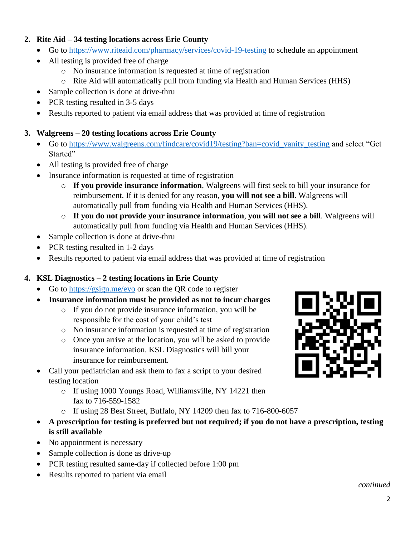### **2. Rite Aid – 34 testing locations across Erie County**

- Go to<https://www.riteaid.com/pharmacy/services/covid-19-testing> to schedule an appointment
- All testing is provided free of charge
	- o No insurance information is requested at time of registration
	- o Rite Aid will automatically pull from funding via Health and Human Services (HHS)
- Sample collection is done at drive-thru
- PCR testing resulted in 3-5 days
- Results reported to patient via email address that was provided at time of registration

# **3. Walgreens – 20 testing locations across Erie County**

- Go to [https://www.walgreens.com/findcare/covid19/testing?ban=covid\\_vanity\\_testing](https://www.walgreens.com/findcare/covid19/testing?ban=covid_vanity_testing) and select "Get Started"
- All testing is provided free of charge
- Insurance information is requested at time of registration
	- o **If you provide insurance information**, Walgreens will first seek to bill your insurance for reimbursement. If it is denied for any reason, **you will not see a bill**. Walgreens will automatically pull from funding via Health and Human Services (HHS).
	- o **If you do not provide your insurance information**, **you will not see a bill**. Walgreens will automatically pull from funding via Health and Human Services (HHS).
- Sample collection is done at drive-thru
- PCR testing resulted in 1-2 days
- Results reported to patient via email address that was provided at time of registration

# **4. KSL Diagnostics – 2 testing locations in Erie County**

- Go to [https://gsign.me/eyo](https://secure-web.cisco.com/1wi0uQlw8_TJBis5KdFMcO18ak0ydK_vJFvvLFj3d6UCxgj5i9Y3SeafeOZla6mL4Ma2_W9jKvIs9umX3uDESUlgLORE9HBliGhL8huB_npYNuSF87pCxNNIM59fWSVBwZ0ggV7SmkjkhoWFav2jXHssrViLyrx5ALW3mcia5BO2wlzZh65EL7Qfs0euDyvvhSPz_OkgauufJ8TRkZvKrUdU8RwIgL5taVzAPpFB2vQi5evng0k8RS_akx2zeefwdizu_ETclfnv0JY6_wxQvgS9P-DErOk6bhyEdx7EORHHlPoWWCNFMet97iFwlxqSy/https%3A%2F%2Fgsign.me%2Feyo) or scan the QR code to register
- **Insurance information must be provided as not to incur charges**
	- o If you do not provide insurance information, you will be responsible for the cost of your child's test
	- o No insurance information is requested at time of registration
	- o Once you arrive at the location, you will be asked to provide insurance information. KSL Diagnostics will bill your insurance for reimbursement.
- Call your pediatrician and ask them to fax a script to your desired testing location
	- o If using 1000 Youngs Road, Williamsville, NY 14221 then fax to 716-559-1582
	- o If using 28 Best Street, Buffalo, NY 14209 then fax to 716-800-6057
- **A prescription for testing is preferred but not required; if you do not have a prescription, testing is still available**
- No appointment is necessary
- Sample collection is done as drive-up
- PCR testing resulted same-day if collected before 1:00 pm
- Results reported to patient via email

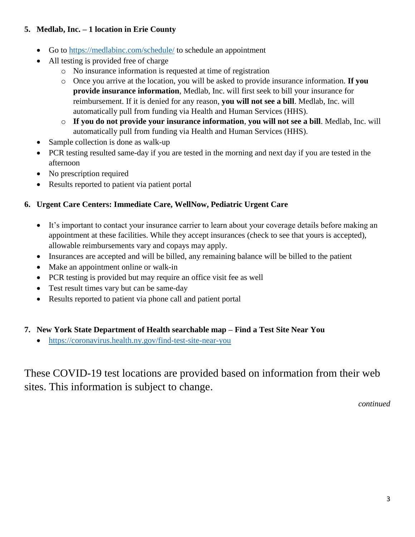### **5. Medlab, Inc. – 1 location in Erie County**

- Go to<https://medlabinc.com/schedule/> to schedule an appointment
- All testing is provided free of charge
	- o No insurance information is requested at time of registration
	- o Once you arrive at the location, you will be asked to provide insurance information. **If you provide insurance information**, Medlab, Inc. will first seek to bill your insurance for reimbursement. If it is denied for any reason, **you will not see a bill**. Medlab, Inc. will automatically pull from funding via Health and Human Services (HHS).
	- o **If you do not provide your insurance information**, **you will not see a bill**. Medlab, Inc. will automatically pull from funding via Health and Human Services (HHS).
- Sample collection is done as walk-up
- PCR testing resulted same-day if you are tested in the morning and next day if you are tested in the afternoon
- No prescription required
- Results reported to patient via patient portal

# **6. Urgent Care Centers: Immediate Care, WellNow, Pediatric Urgent Care**

- It's important to contact your insurance carrier to learn about your coverage details before making an appointment at these facilities. While they accept insurances (check to see that yours is accepted), allowable reimbursements vary and copays may apply.
- Insurances are accepted and will be billed, any remaining balance will be billed to the patient
- Make an appointment online or walk-in
- PCR testing is provided but may require an office visit fee as well
- Test result times vary but can be same-day
- Results reported to patient via phone call and patient portal

### **7. New York State Department of Health searchable map – Find a Test Site Near You**

• <https://coronavirus.health.ny.gov/find-test-site-near-you>

These COVID-19 test locations are provided based on information from their web sites. This information is subject to change.

*continued*